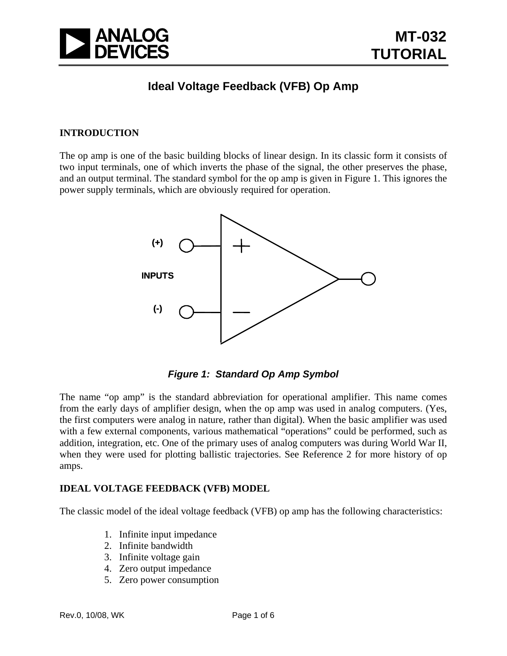

# **Ideal Voltage Feedback (VFB) Op Amp**

#### **INTRODUCTION**

The op amp is one of the basic building blocks of linear design. In its classic form it consists of two input terminals, one of which inverts the phase of the signal, the other preserves the phase, and an output terminal. The standard symbol for the op amp is given in Figure 1. This ignores the power supply terminals, which are obviously required for operation.



*Figure 1: Standard Op Amp Symbol* 

The name "op amp" is the standard abbreviation for operational amplifier. This name comes from the early days of amplifier design, when the op amp was used in analog computers. (Yes, the first computers were analog in nature, rather than digital). When the basic amplifier was used with a few external components, various mathematical "operations" could be performed, such as addition, integration, etc. One of the primary uses of analog computers was during World War II, when they were used for plotting ballistic trajectories. See Reference 2 for more history of op amps.

#### **IDEAL VOLTAGE FEEDBACK (VFB) MODEL**

The classic model of the ideal voltage feedback (VFB) op amp has the following characteristics:

- 1. Infinite input impedance
- 2. Infinite bandwidth
- 3. Infinite voltage gain
- 4. Zero output impedance
- 5. Zero power consumption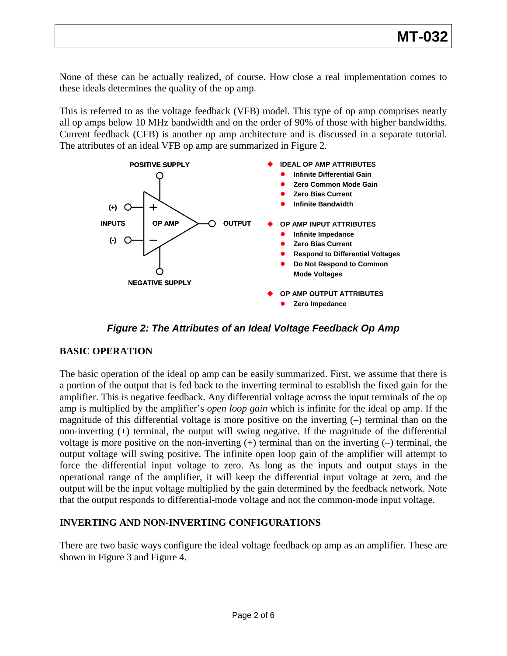None of these can be actually realized, of course. How close a real implementation comes to these ideals determines the quality of the op amp.

Current feedback (CFB) is another op amp architecture and is discussed in a separate tutorial. The attributes of an ideal VFB op amp are summarized in Figure 2. This is referred to as the voltage feedback (VFB) model. This type of op amp comprises nearly all op amps below 10 MHz bandwidth and on the order of 90% of those with higher bandwidths.



*Figure 2: The Attributes of an Ideal Voltage Feedback Op Amp* 

## **ASIC OPERATION B**

output will be the input voltage multiplied by the gain determined by the feedback network. Note that the output responds to differential-mode voltage and not the common-mode input voltage. The basic operation of the ideal op amp can be easily summarized. First, we assume that there is a portion of the output that is fed back to the inverting terminal to establish the fixed gain for the amplifier. This is negative feedback. Any differential voltage across the input terminals of the op amp is multiplied by the amplifier's *open loop gain* which is infinite for the ideal op amp. If the magnitude of this differential voltage is more positive on the inverting (–) terminal than on the non-inverting (+) terminal, the output will swing negative. If the magnitude of the differential voltage is more positive on the non-inverting  $(+)$  terminal than on the inverting  $(-)$  terminal, the output voltage will swing positive. The infinite open loop gain of the amplifier will attempt to force the differential input voltage to zero. As long as the inputs and output stays in the operational range of the amplifier, it will keep the differential input voltage at zero, and the

#### INVERTING AND NON-INVERTING CONFIGURATIONS

There are two basic ways configure the ideal voltage feedback op amp as an amplifier. These are shown in Figure 3 and Figure 4.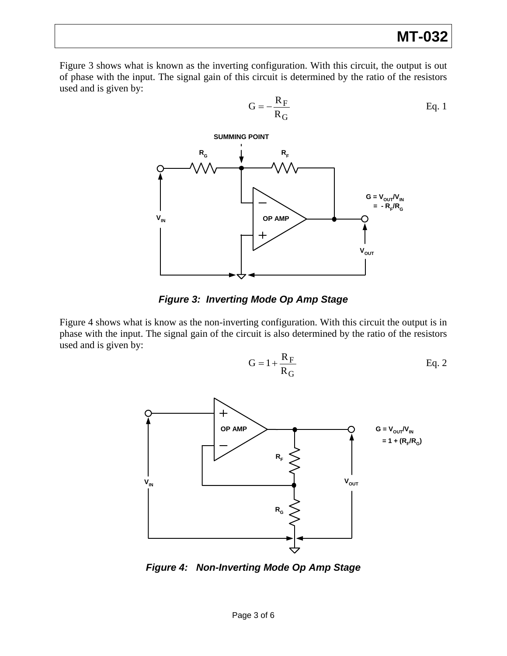Figure 3 shows what is known as the inverting configuration. W ith this circuit, the output is out of phase with the input. The signal gain of this circuit is determined by the ratio of the resistors used and is given by:



F

## *Figure 3: Inverting Mode Op Amp Stage*

Figure 4 shows what is know as the non-inverting configuration. W ith this circuit the output is in phase with the input. The signal gain of the circuit is also determined by the ratio of the resistors used and is given by:

$$
G = 1 + \frac{R_F}{R_G}
$$
 Eq. 2



*Figure 4: Non-Inverting Mode Op Amp Stage*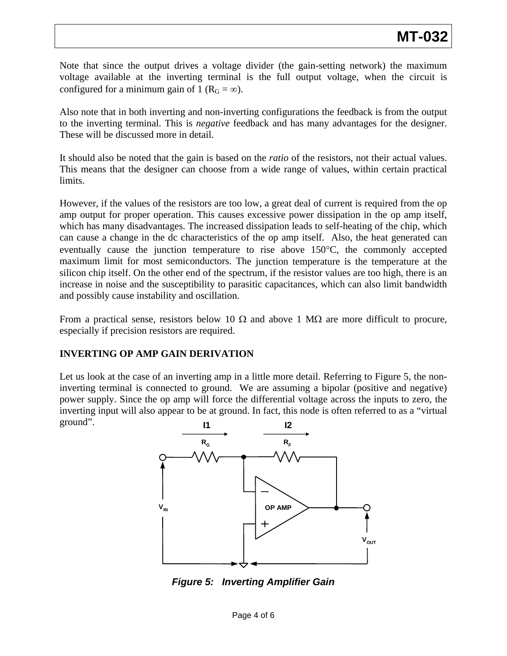Note that since the output drives a voltage divider (the gain-setting network) the maximum voltage available at the inverting terminal is the full output voltage, when the circuit is configured for a minimum gain of 1 ( $R_G = \infty$ ).

Also note that in both inverting and non-inverting configurations the feedback is from the output to the inverting terminal. This is *negative* feedback and has many advantages for the designer. These will be discussed more in detail.

It should also be noted that the gain is based on the *ratio* of the resistors, not their actual values. This means that the designer can choose from a wide range of values, within certain practical limits.

maximum limit for most semiconductors. The junction temperature is the temperature at the silicon chip itself. On the other end of the spectrum, if the resistor values are too high, there is an and possibly cause instability and oscillation. However, if the values of the resistors are too low, a great deal of current is required from the op amp output for proper operation. This causes excessive power dissipation in the op amp itself, which has many disadvantages. The increased dissipation leads to self-heating of the chip, which can cause a change in the dc characteristics of the op amp itself. Also, the heat generated can eventually cause the junction temperature to rise above 150°C, the commonly accepted increase in noise and the susceptibility to parasitic capacitances, which can also limit bandwidth

From a practical sense, resistors below 10  $\Omega$  and above 1 M $\Omega$  are more difficult to procure, especially if precision resistors are required.

## **INVERTING OP AMP GAIN DERIVATION**

inverting terminal is connected to ground. We are assuming a bipolar (positive and negative) power supply. Since the op amp will force the differential voltage across the inputs to zero, the inverting input will also appear to be at ground. In fact, this node is often referred to as a "virtual ground". Let us look at the case of an inverting amp in a little more detail. Referring to Figure 5, the non-



*Figure 5: Inverting Amplifier Gain*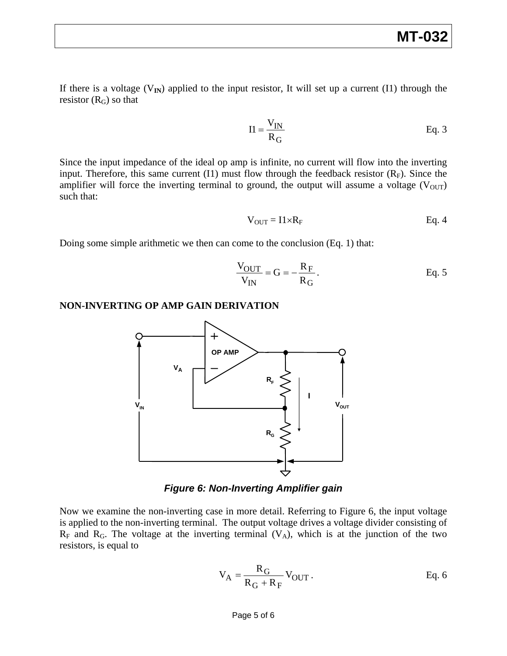If there is a voltage  $(V_{\text{IN}})$  applied to the input resistor, It will set up a current (I1) through the resistor  $(R_G)$  so that

$$
II = \frac{V_{IN}}{R_G}
$$
 Eq. 3

Since the input impedance of the ideal op amp is infinite, no current will flow into the inverting input. Therefore, this same current  $(11)$  must flow through the feedback resistor  $(R_F)$ . Since the amplifier will force the inverting terminal to ground, the output will assume a voltage  $(V_{OUT})$ such that:

$$
V_{OUT} = I1 \times R_F
$$
 Eq. 4

Doing some simple arithmetic we then can come to the conclusion (Eq. 1) that:

$$
\frac{V_{OUT}}{V_{IN}} = G = -\frac{R_F}{R_G}.
$$
 Eq. 5

#### **NON-INVERTING OP AMP GAIN DERIVATION**



*Figure 6: Non-Inverting Amplifier gain* 

is applied to the non-inverting terminal. The output voltage drives a voltage divider consisting of  $R_F$  and  $R_G$ . The voltage at the inverting terminal (V<sub>A</sub>), which is at the junction of the two resistors, is equal to Now we examine the non-inverting case in more detail. Referring to Figure 6, the input voltage

$$
V_A = \frac{R_G}{R_G + R_F} V_{OUT}.
$$
 Eq. 6